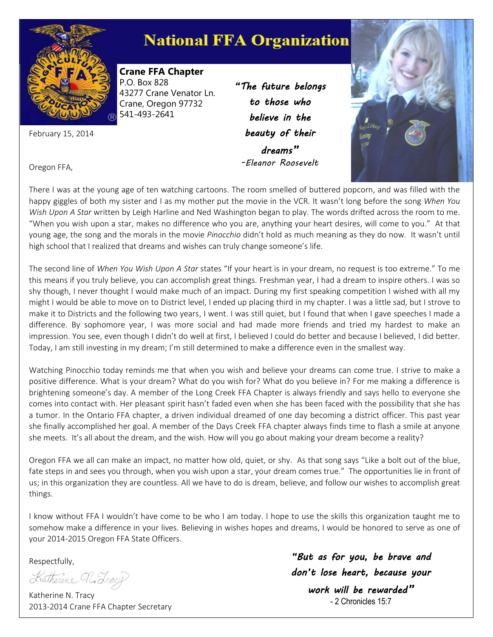

## **National FFA Organization**

**Crane FFA Chapter** P.O. Box 828 43277 Crane Venator Ln. Crane, Oregon 97732 541-493-2641

February 15, 2014

*"The future belongs to those who believe in the beauty of their dreams" -Eleanor Roosevelt*



Oregon FFA,

There I was at the young age of ten watching cartoons. The room smelled of buttered popcorn, and was filled with the happy giggles of both my sister and I as my mother put the movie in the VCR. It wasn't long before the song *When You Wish Upon A Star* written by Leigh Harline and Ned Washington began to play. The words drifted across the room to me. "When you wish upon a star, makes no difference who you are, anything your heart desires, will come to you." At that young age, the song and the morals in the movie *Pinocchio* didn't hold as much meaning as they do now. It wasn't until high school that I realized that dreams and wishes can truly change someone's life.

The second line of *When You Wish Upon A Star* states "If your heart is in your dream, no request is too extreme." To me this means if you truly believe, you can accomplish great things. Freshman year, I had a dream to inspire others. I was so shy though, I never thought I would make much of an impact. During my first speaking competition I wished with all my might I would be able to move on to District level, I ended up placing third in my chapter. I was a little sad, but I strove to make it to Districts and the following two years, I went. I was still quiet, but I found that when I gave speeches I made a difference. By sophomore year, I was more social and had made more friends and tried my hardest to make an impression. You see, even though I didn't do well at first, I believed I could do better and because I believed, I did better. Today, I am still investing in my dream; I'm still determined to make a difference even in the smallest way.

Watching Pinocchio today reminds me that when you wish and believe your dreams can come true. I strive to make a positive difference. What is your dream? What do you wish for? What do you believe in? For me making a difference is brightening someone's day. A member of the Long Creek FFA Chapter is always friendly and says hello to everyone she comes into contact with. Her pleasant spirit hasn't faded even when she has been faced with the possibility that she has a tumor. In the Ontario FFA chapter, a driven individual dreamed of one day becoming a district officer. This past year she finally accomplished her goal. A member of the Days Creek FFA chapter always finds time to flash a smile at anyone she meets. It's all about the dream, and the wish. How will you go about making your dream become a reality?

Oregon FFA we all can make an impact, no matter how old, quiet, or shy. As that song says "Like a bolt out of the blue, fate steps in and sees you through, when you wish upon a star, your dream comes true." The opportunities lie in front of us; in this organization they are countless. All we have to do is dream, believe, and follow our wishes to accomplish great things.

I know without FFA I wouldn't have come to be who I am today. I hope to use the skills this organization taught me to somehow make a difference in your lives. Believing in wishes hopes and dreams, I would be honored to serve as one of your 2014-2015 Oregon FFA State Officers.

Respectfully,

Katherine N. Tracy

Katherine N. Tracy 2013-2014 Crane FFA Chapter Secretary

*"But as for you, be brave and don't lose heart, because your work will be rewarded"* - 2 Chronicles 15:7